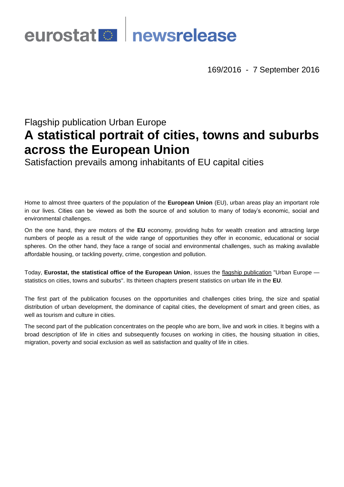# eurostat **Deurostat**

169/2016 - 7 September 2016

# Flagship publication Urban Europe **A statistical portrait of cities, towns and suburbs across the European Union**

Satisfaction prevails among inhabitants of EU capital cities

Home to almost three quarters of the population of the **European Union** (EU), urban areas play an important role in our lives. Cities can be viewed as both the source of and solution to many of today's economic, social and environmental challenges.

On the one hand, they are motors of the **EU** economy, providing hubs for wealth creation and attracting large numbers of people as a result of the wide range of opportunities they offer in economic, educational or social spheres. On the other hand, they face a range of social and environmental challenges, such as making available affordable housing, or tackling poverty, crime, congestion and pollution.

Today, **Eurostat, the statistical office of the European Union**, issues the [flagship publication](http://ec.europa.eu/eurostat/product?code=KS-01-16-691) "Urban Europe statistics on cities, towns and suburbs". Its thirteen chapters present statistics on urban life in the **EU**.

The first part of the publication focuses on the opportunities and challenges cities bring, the size and spatial distribution of urban development, the dominance of capital cities, the development of smart and green cities, as well as tourism and culture in cities.

The second part of the publication concentrates on the people who are born, live and work in cities. It begins with a broad description of life in cities and subsequently focuses on working in cities, the housing situation in cities, migration, poverty and social exclusion as well as satisfaction and quality of life in cities.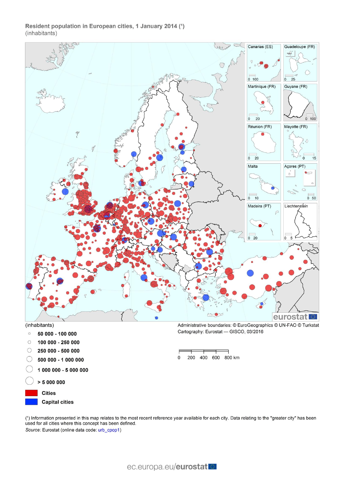# Resident population in European cities, 1 January 2014 (1) (inhabitants)



- C 500 000 - 1 000 000
- 1 000 000 5 000 000
- $> 5000000$
- **Cities** 
	- **Capital cities**

200 400 600 800 km  $\mathbf 0$ 

(1) Information presented in this map relates to the most recent reference year available for each city. Data relating to the "greater city" has been used for all cities where this concept has been defined. Source: Eurostat (online data code: urb\_cpop1)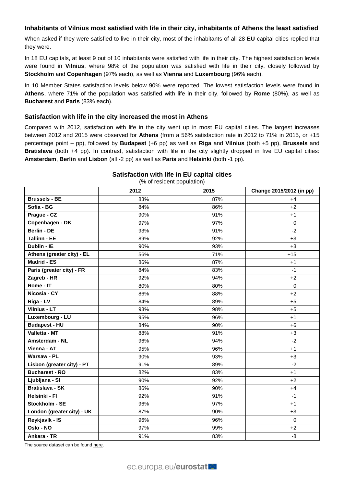# **Inhabitants of Vilnius most satisfied with life in their city, inhabitants of Athens the least satisfied**

When asked if they were satisfied to live in their city, most of the inhabitants of all 28 **EU** capital cities replied that they were.

In 18 EU capitals, at least 9 out of 10 inhabitants were satisfied with life in their city. The highest satisfaction levels were found in **Vilnius**, where 98% of the population was satisfied with life in their city, closely followed by **Stockholm** and **Copenhagen** (97% each), as well as **Vienna** and **Luxembourg** (96% each).

In 10 Member States satisfaction levels below 90% were reported. The lowest satisfaction levels were found in **Athens**, where 71% of the population was satisfied with life in their city, followed by **Rome** (80%), as well as **Bucharest** and **Paris** (83% each).

# **Satisfaction with life in the city increased the most in Athens**

Compared with 2012, satisfaction with life in the city went up in most EU capital cities. The largest increases between 2012 and 2015 were observed for **Athens** (from a 56% satisfaction rate in 2012 to 71% in 2015, or +15 percentage point – pp), followed by **Budapest** (+6 pp) as well as **Riga** and **Vilnius** (both +5 pp), **Brussels** and **Bratislava** (both +4 pp). In contrast, satisfaction with life in the city slightly dropped in five EU capital cities: **Amsterdam**, **Berlin** and **Lisbon** (all -2 pp) as well as **Paris** and **Helsinki** (both -1 pp).

# **2012 2015 Change 2015/2012 (in pp) Brussels - BE** 83% 87% +4 **Sofia - BG** 84% 86% +2 **Prague - CZ** 90% 91% +1 **Copenhagen - DK** 97% 97% 0 **Berlin - DE** 93% 91% -2 **Tallinn - EE** 89% 92% +3 **Dublin - IE** 90% 93% +3 **Athens (greater city) - EL**  $\qquad \qquad$  56%  $\qquad \qquad$  71%  $\qquad \qquad$  +15 **Madrid - ES** 86% 87% +1 **Paris (greater city) - FR** 84% 83% -1 **Zagreb - HR** 92% 94% +2 **Rome - IT** 80% 80% 0 **Nicosia - CY** 86% 88% +2 **Riga-LV 84%** 89% +5 **Vilnius - LT** 93% 98% +5 **Luxembourg - LU** 95% 96% +1 **Budapest - HU**  $\begin{array}{ccc} 1 & 84\% & 1 & 90\% & 1 & 16 \end{array}$ **Valletta - MT** 88% 91% +3 **Amsterdam - NL** 96% 94% 94% -2 **Vienna - AT** 95% 96% +1 **Warsaw - PL** 90% 93% +3 **Lisbon (greater city) - PT** 91% 89% -2 **Bucharest - RO** 82% +1 **Ljubljana - SI** 90% 92% +2 **Bratislava - SK** +4 **Helsinki - FI** 92% 91% -1 **Stockholm - SE** 96% 97% +1 **London (greater city) - UK** | 87% | 90% | +3 **Reykjavík - IS** 96% 96% 0 **Oslo - NO** 97% 99% +2 **Ankara - TR** 91% 83% -8

**Satisfaction with life in EU capital cities** (% of resident population)

The source dataset can be foun[d here.](http://appsso.eurostat.ec.europa.eu/nui/show.do?query=BOOKMARK_DS-051618_QID_6DE0B97B_UID_-3F171EB0&layout=TIME,C,X,0;INDIC_UR,L,X,1;CITIES,L,Y,0;INDICATORS,C,Z,0;&zSelection=DS-051618INDICATORS,OBS_FLAG;&rankName1=INDICATORS_1_2_-1_2&rankName2=TIME_1_0_0_0&rankName3=INDIC-UR_1_2_1_0&rankName4=CITIES_1_2_0_1&sortC=ASC_-1_FIRST&rStp=&cStp=&rDCh=&cDCh=&rDM=true&cDM=true&footnes=false&empty=false&wai=false&time_mode=ROLLING&time_most_recent=false&lang=EN&cfo=%23%23%23%2C%23%23%23.%23%23%23)